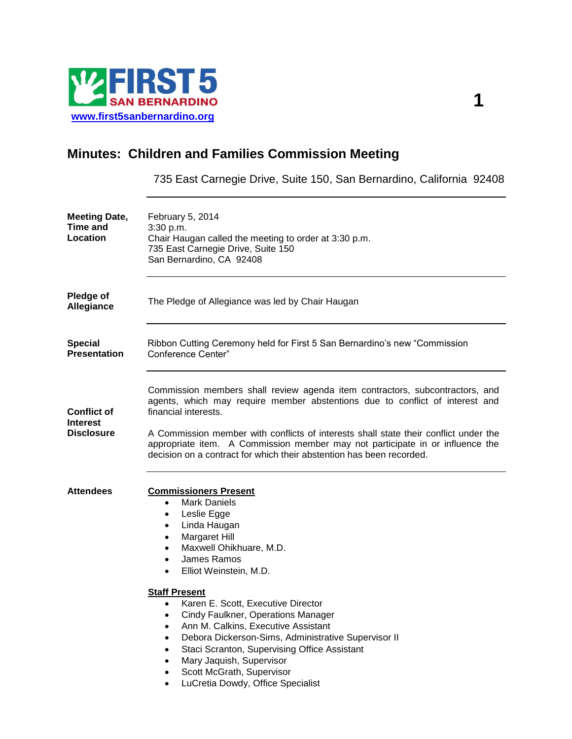

# **Minutes: Children and Families Commission Meeting**

735 East Carnegie Drive, Suite 150, San Bernardino, California 92408

| <b>Meeting Date,</b><br>Time and<br>Location               | February 5, 2014<br>3:30 p.m.<br>Chair Haugan called the meeting to order at 3:30 p.m.<br>735 East Carnegie Drive, Suite 150<br>San Bernardino, CA 92408                                                                                                                                                                                                                                                                                                                                                                                                                                                                                                    |
|------------------------------------------------------------|-------------------------------------------------------------------------------------------------------------------------------------------------------------------------------------------------------------------------------------------------------------------------------------------------------------------------------------------------------------------------------------------------------------------------------------------------------------------------------------------------------------------------------------------------------------------------------------------------------------------------------------------------------------|
| <b>Pledge of</b><br>Allegiance                             | The Pledge of Allegiance was led by Chair Haugan                                                                                                                                                                                                                                                                                                                                                                                                                                                                                                                                                                                                            |
| <b>Special</b><br><b>Presentation</b>                      | Ribbon Cutting Ceremony held for First 5 San Bernardino's new "Commission"<br>Conference Center"                                                                                                                                                                                                                                                                                                                                                                                                                                                                                                                                                            |
| <b>Conflict of</b><br><b>Interest</b><br><b>Disclosure</b> | Commission members shall review agenda item contractors, subcontractors, and<br>agents, which may require member abstentions due to conflict of interest and<br>financial interests.<br>A Commission member with conflicts of interests shall state their conflict under the<br>appropriate item. A Commission member may not participate in or influence the<br>decision on a contract for which their abstention has been recorded.                                                                                                                                                                                                                       |
| <b>Attendees</b>                                           | <b>Commissioners Present</b><br><b>Mark Daniels</b><br>$\bullet$<br>Leslie Egge<br>٠<br>Linda Haugan<br>٠<br>Margaret Hill<br>$\bullet$<br>Maxwell Ohikhuare, M.D.<br>$\bullet$<br>James Ramos<br>$\bullet$<br>Elliot Weinstein, M.D.<br>٠<br><b>Staff Present</b><br>Karen E. Scott, Executive Director<br>$\bullet$<br>Cindy Faulkner, Operations Manager<br>Ann M. Calkins, Executive Assistant<br>Debora Dickerson-Sims, Administrative Supervisor II<br>Staci Scranton, Supervising Office Assistant<br>$\bullet$<br>Mary Jaquish, Supervisor<br>$\bullet$<br>Scott McGrath, Supervisor<br>$\bullet$<br>LuCretia Dowdy, Office Specialist<br>$\bullet$ |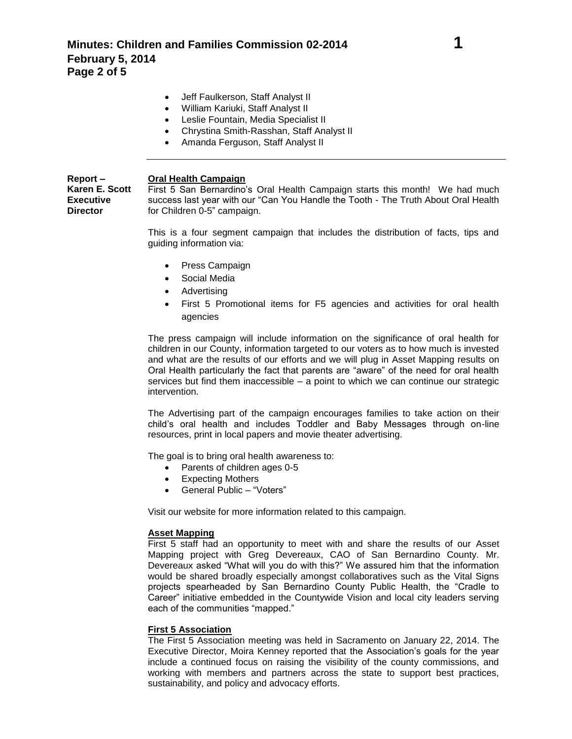- Jeff Faulkerson, Staff Analyst II
- William Kariuki, Staff Analyst II
- Leslie Fountain, Media Specialist II
- Chrystina Smith-Rasshan, Staff Analyst II
- Amanda Ferguson, Staff Analyst II

#### **Report – Karen E. Scott Oral Health Campaign**

**Executive Director**

First 5 San Bernardino's Oral Health Campaign starts this month! We had much success last year with our "Can You Handle the Tooth - The Truth About Oral Health for Children 0-5" campaign.

This is a four segment campaign that includes the distribution of facts, tips and guiding information via:

- Press Campaign
- Social Media
- Advertising
- First 5 Promotional items for F5 agencies and activities for oral health agencies

The press campaign will include information on the significance of oral health for children in our County, information targeted to our voters as to how much is invested and what are the results of our efforts and we will plug in Asset Mapping results on Oral Health particularly the fact that parents are "aware" of the need for oral health services but find them inaccessible – a point to which we can continue our strategic intervention.

The Advertising part of the campaign encourages families to take action on their child's oral health and includes Toddler and Baby Messages through on-line resources, print in local papers and movie theater advertising.

The goal is to bring oral health awareness to:

- Parents of children ages 0-5
- Expecting Mothers
- General Public "Voters"

Visit our website for more information related to this campaign.

### **Asset Mapping**

First 5 staff had an opportunity to meet with and share the results of our Asset Mapping project with Greg Devereaux, CAO of San Bernardino County. Mr. Devereaux asked "What will you do with this?" We assured him that the information would be shared broadly especially amongst collaboratives such as the Vital Signs projects spearheaded by San Bernardino County Public Health, the "Cradle to Career" initiative embedded in the Countywide Vision and local city leaders serving each of the communities "mapped."

### **First 5 Association**

The First 5 Association meeting was held in Sacramento on January 22, 2014. The Executive Director, Moira Kenney reported that the Association's goals for the year include a continued focus on raising the visibility of the county commissions, and working with members and partners across the state to support best practices, sustainability, and policy and advocacy efforts.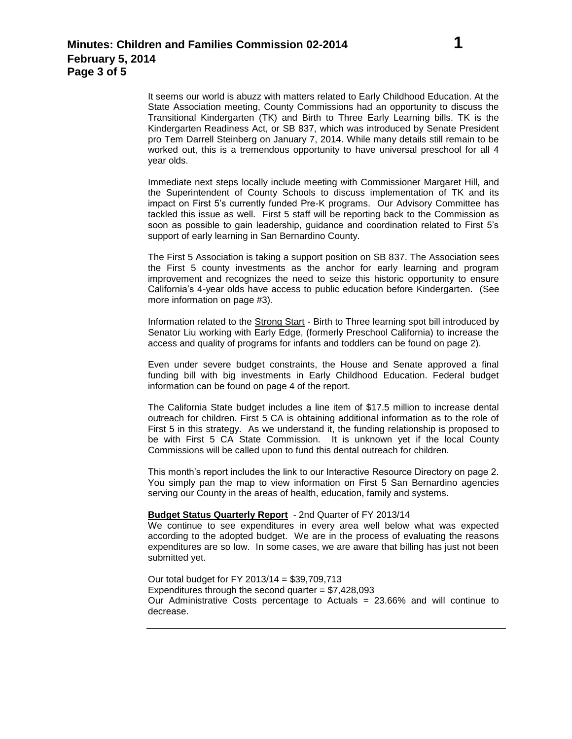It seems our world is abuzz with matters related to Early Childhood Education. At the State Association meeting, County Commissions had an opportunity to discuss the Transitional Kindergarten (TK) and Birth to Three Early Learning bills. TK is the Kindergarten Readiness Act, or SB 837, which was introduced by Senate President pro Tem Darrell Steinberg on January 7, 2014. While many details still remain to be worked out, this is a tremendous opportunity to have universal preschool for all 4 year olds.

Immediate next steps locally include meeting with Commissioner Margaret Hill, and the Superintendent of County Schools to discuss implementation of TK and its impact on First 5's currently funded Pre-K programs. Our Advisory Committee has tackled this issue as well. First 5 staff will be reporting back to the Commission as soon as possible to gain leadership, guidance and coordination related to First 5's support of early learning in San Bernardino County.

The First 5 Association is taking a support position on SB 837. The Association sees the First 5 county investments as the anchor for early learning and program improvement and recognizes the need to seize this historic opportunity to ensure California's 4-year olds have access to public education before Kindergarten. (See more information on page #3).

Information related to the Strong Start - Birth to Three learning spot bill introduced by Senator Liu working with Early Edge, (formerly Preschool California) to increase the access and quality of programs for infants and toddlers can be found on page 2).

Even under severe budget constraints, the House and Senate approved a final funding bill with big investments in Early Childhood Education. Federal budget information can be found on page 4 of the report.

The California State budget includes a line item of \$17.5 million to increase dental outreach for children. First 5 CA is obtaining additional information as to the role of First 5 in this strategy. As we understand it, the funding relationship is proposed to be with First 5 CA State Commission. It is unknown yet if the local County Commissions will be called upon to fund this dental outreach for children.

This month's report includes the link to our Interactive Resource Directory on page 2. You simply pan the map to view information on First 5 San Bernardino agencies serving our County in the areas of health, education, family and systems.

#### **Budget Status Quarterly Report** - 2nd Quarter of FY 2013/14

We continue to see expenditures in every area well below what was expected according to the adopted budget. We are in the process of evaluating the reasons expenditures are so low. In some cases, we are aware that billing has just not been submitted yet.

Our total budget for FY 2013/14 = \$39,709,713 Expenditures through the second quarter =  $$7,428,093$ Our Administrative Costs percentage to Actuals = 23.66% and will continue to decrease.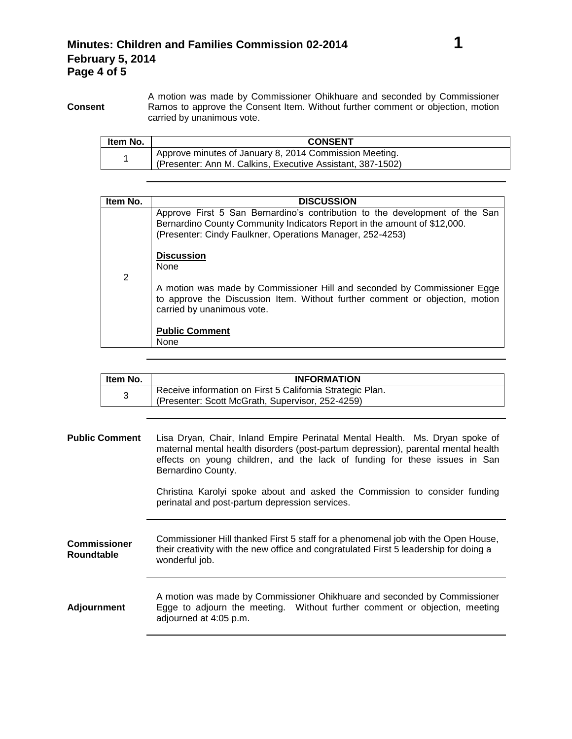**Consent** A motion was made by Commissioner Ohikhuare and seconded by Commissioner Ramos to approve the Consent Item. Without further comment or objection, motion carried by unanimous vote.

| Item No. | <b>CONSENT</b>                                                                                                       |
|----------|----------------------------------------------------------------------------------------------------------------------|
|          | Approve minutes of January 8, 2014 Commission Meeting.<br>(Presenter: Ann M. Calkins, Executive Assistant, 387-1502) |

| Item No.       | <b>DISCUSSION</b>                                                                                                                                                                                                    |
|----------------|----------------------------------------------------------------------------------------------------------------------------------------------------------------------------------------------------------------------|
| $\overline{2}$ | Approve First 5 San Bernardino's contribution to the development of the San<br>Bernardino County Community Indicators Report in the amount of \$12,000.<br>(Presenter: Cindy Faulkner, Operations Manager, 252-4253) |
|                | <b>Discussion</b><br><b>None</b>                                                                                                                                                                                     |
|                | A motion was made by Commissioner Hill and seconded by Commissioner Egge<br>to approve the Discussion Item. Without further comment or objection, motion<br>carried by unanimous vote.                               |
|                | <b>Public Comment</b><br>None                                                                                                                                                                                        |

| Item No. | <b>INFORMATION</b>                                                                                            |
|----------|---------------------------------------------------------------------------------------------------------------|
|          | Receive information on First 5 California Strategic Plan.<br>(Presenter: Scott McGrath, Supervisor, 252-4259) |

| <b>Public Comment</b>                    | Lisa Dryan, Chair, Inland Empire Perinatal Mental Health. Ms. Dryan spoke of<br>maternal mental health disorders (post-partum depression), parental mental health<br>effects on young children, and the lack of funding for these issues in San<br>Bernardino County. |
|------------------------------------------|-----------------------------------------------------------------------------------------------------------------------------------------------------------------------------------------------------------------------------------------------------------------------|
|                                          | Christina Karolyi spoke about and asked the Commission to consider funding<br>perinatal and post-partum depression services.                                                                                                                                          |
| <b>Commissioner</b><br><b>Roundtable</b> | Commissioner Hill thanked First 5 staff for a phenomenal job with the Open House,<br>their creativity with the new office and congratulated First 5 leadership for doing a<br>wonderful job.                                                                          |
| <b>Adjournment</b>                       | A motion was made by Commissioner Ohikhuare and seconded by Commissioner<br>Egge to adjourn the meeting. Without further comment or objection, meeting<br>adjourned at 4:05 p.m.                                                                                      |